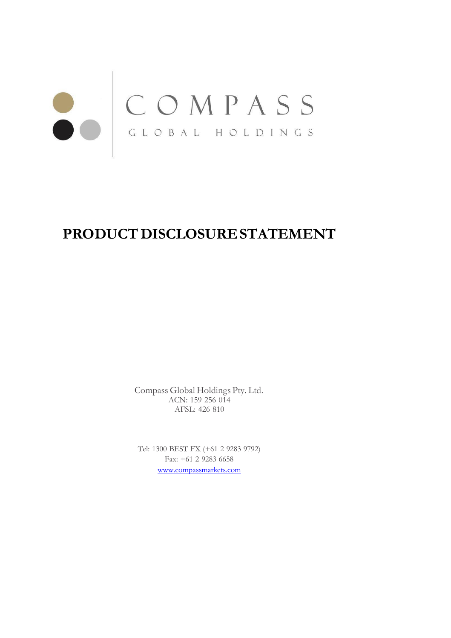# COMPASS

# PRODUCT DISCLOSURE STATEMENT

Compass Global Holdings Pty. Ltd. ACN: 159 256 014 AFSL: 426 810

Tel: 1300 BEST FX (+61 2 9283 9792) Fax: +61 2 9283 6658 [www.compassmarkets.com](http://www.compassmarkets.com/)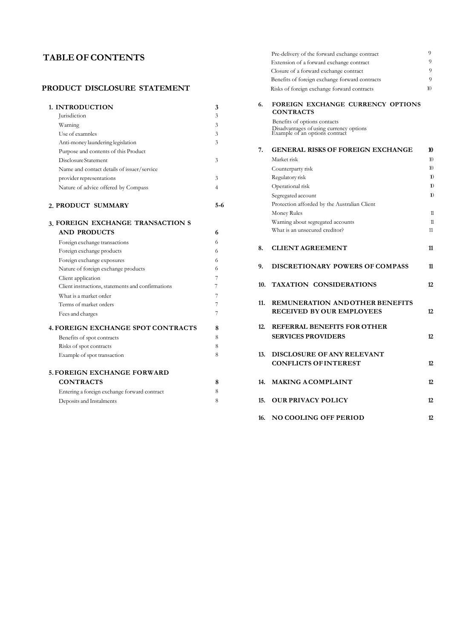## **PRODUCT DISCLOSURE STATEMENT**

| 1. INTRODUCTION                                   | 3              | 6.  | FOREIGN EXCHANGE CURRENCY                                                 |
|---------------------------------------------------|----------------|-----|---------------------------------------------------------------------------|
| <i><u>Iurisdiction</u></i>                        | 3              |     | <b>CONTRACTS</b>                                                          |
| Warning                                           | 3              |     | Benefits of options contacts                                              |
| Use of examples                                   | 3              |     | Disadvantages of using currency options<br>Example of an options contract |
| Anti-money laundering legislation                 | 3              |     |                                                                           |
| Purpose and contents of this Product              |                | 7.  | <b>GENERAL RISKS OF FOREIGN EXC</b>                                       |
| Disclosure Statement                              | 3              |     | Market risk                                                               |
| Name and contact details of issuer/service        |                |     | Counterparty risk                                                         |
| provider representations                          | 3              |     | Regulatory risk                                                           |
| Nature of advice offered by Compass               | $\overline{4}$ |     | Operational risk                                                          |
|                                                   |                |     | Segregated account                                                        |
| 2. PRODUCT SUMMARY                                | 5-6            |     | Protection afforded by the Australian Client                              |
|                                                   |                |     | Money Rules                                                               |
| 3. FOREIGN EXCHANGE TRANSACTION S                 |                |     | Warning about segregated accounts                                         |
| <b>AND PRODUCTS</b>                               | 6              |     | What is an unsecured creditor?                                            |
| Foreign exchange transactions                     | 6              |     |                                                                           |
| Foreign exchange products                         | 6              | 8.  | <b>CLIENT AGREEMENT</b>                                                   |
| Foreign exchange exposures                        | 6              |     |                                                                           |
| Nature of foreign exchange products               | 6              | 9.  | DISCRETIONARY POWERS OF COI                                               |
| Client application                                | 7              |     |                                                                           |
| Client instructions, statements and confirmations | 7              |     | 10. TAXATION CONSIDERATIONS                                               |
| What is a market order                            | 7              |     |                                                                           |
| Terms of market orders                            | 7              | 11. | <b>REMUNERATION ANDOTHER BE</b>                                           |
| Fees and charges                                  | 7              |     | <b>RECEIVED BY OUR EMPLOYEES</b>                                          |
| <b>4. FOREIGN EXCHANGE SPOT CONTRACTS</b>         | 8              | 12. | REFERRAL BENEFITS FOR OTHER                                               |
| Benefits of spot contracts                        | 8              |     | <b>SERVICES PROVIDERS</b>                                                 |
| Risks of spot contracts                           | 8              |     |                                                                           |
| Example of spot transaction                       | 8              | 13. | DISCLOSURE OF ANY RELEVANT                                                |
|                                                   |                |     | <b>CONFLICTS OF INTEREST</b>                                              |
| <b>5. FOREIGN EXCHANGE FORWARD</b>                |                |     |                                                                           |
| <b>CONTRACTS</b>                                  | 8              | 14. | <b>MAKING ACOMPLAINT</b>                                                  |
| Entering a foreign exchange forward contract      | 8              |     |                                                                           |
| Deposits and Instalments                          | 8              | 15. | <b>OUR PRIVACY POLICY</b>                                                 |
|                                                   |                |     |                                                                           |

|                |        | Pre-delivery of the forward exchange contract  | 9                                                                                                                                                                                                                                                                                                                     |
|----------------|--------|------------------------------------------------|-----------------------------------------------------------------------------------------------------------------------------------------------------------------------------------------------------------------------------------------------------------------------------------------------------------------------|
|                |        | Extension of a forward exchange contract       | $\overline{Q}$                                                                                                                                                                                                                                                                                                        |
|                |        | Closure of a forward exchange contract         | $\overline{Q}$                                                                                                                                                                                                                                                                                                        |
|                |        | Benefits of foreign exchange forward contracts | 9                                                                                                                                                                                                                                                                                                                     |
|                |        | Risks of foreign exchange forward contracts    | 10                                                                                                                                                                                                                                                                                                                    |
| 3              | 6.     |                                                |                                                                                                                                                                                                                                                                                                                       |
| 3              |        |                                                |                                                                                                                                                                                                                                                                                                                       |
| 3              |        |                                                |                                                                                                                                                                                                                                                                                                                       |
| $\mathcal{L}$  |        |                                                |                                                                                                                                                                                                                                                                                                                       |
| 3              |        |                                                |                                                                                                                                                                                                                                                                                                                       |
|                | 7.     | <b>GENERAL RISKS OF FOREIGN EXCHANGE</b>       | 10                                                                                                                                                                                                                                                                                                                    |
| 3              |        | Market risk                                    | 10 <sup>10</sup>                                                                                                                                                                                                                                                                                                      |
|                |        | Counterparty risk                              | 10 <sup>10</sup>                                                                                                                                                                                                                                                                                                      |
| 3              |        | Regulatory risk                                | $\mathbf{D}$                                                                                                                                                                                                                                                                                                          |
| $\overline{4}$ |        | Operational risk                               | 10                                                                                                                                                                                                                                                                                                                    |
|                |        | Segregated account                             | 10                                                                                                                                                                                                                                                                                                                    |
| 5-6            |        | Protection afforded by the Australian Client   |                                                                                                                                                                                                                                                                                                                       |
|                |        | Money Rules                                    | $\mathbf{1}$                                                                                                                                                                                                                                                                                                          |
|                |        | Warning about segregated accounts              | $\mathbf{1}$                                                                                                                                                                                                                                                                                                          |
| 6              |        | What is an unsecured creditor?                 | 11                                                                                                                                                                                                                                                                                                                    |
| 6              |        |                                                |                                                                                                                                                                                                                                                                                                                       |
| 6              | 8.     | <b>CLIENT AGREEMENT</b>                        | 11                                                                                                                                                                                                                                                                                                                    |
| 6              |        |                                                |                                                                                                                                                                                                                                                                                                                       |
| 6              | 9.     | DISCRETIONARY POWERS OF COMPASS                | 11                                                                                                                                                                                                                                                                                                                    |
| 7              |        |                                                |                                                                                                                                                                                                                                                                                                                       |
| 7              |        |                                                | 12                                                                                                                                                                                                                                                                                                                    |
| 7              |        |                                                |                                                                                                                                                                                                                                                                                                                       |
| 7              | 11.    | <b>REMUNERATION ANDOTHER BENEFITS</b>          |                                                                                                                                                                                                                                                                                                                       |
| 7              |        | RECEIVED BY OUR EMPLOYEES                      | 12                                                                                                                                                                                                                                                                                                                    |
| 8              | 12.    | <b>REFERRAL BENEFITS FOR OTHER</b>             |                                                                                                                                                                                                                                                                                                                       |
|                |        | <b>SERVICES PROVIDERS</b>                      | 12                                                                                                                                                                                                                                                                                                                    |
|                |        |                                                |                                                                                                                                                                                                                                                                                                                       |
| 8              | 13.    |                                                |                                                                                                                                                                                                                                                                                                                       |
|                |        |                                                | 12                                                                                                                                                                                                                                                                                                                    |
|                |        |                                                |                                                                                                                                                                                                                                                                                                                       |
| 8              |        |                                                | 12                                                                                                                                                                                                                                                                                                                    |
| 8              |        |                                                |                                                                                                                                                                                                                                                                                                                       |
| 8              | 15.    | <b>OUR PRIVACY POLICY</b>                      | 12                                                                                                                                                                                                                                                                                                                    |
|                |        |                                                | 12                                                                                                                                                                                                                                                                                                                    |
|                | 8<br>8 |                                                | FOREIGN EXCHANGE CURRENCY OPTIONS<br><b>CONTRACTS</b><br>Benefits of options contacts<br>Disadvantages of using currency options<br>Example of an options contract<br>10. TAXATION CONSIDERATIONS<br>DISCLOSURE OF ANY RELEVANT<br><b>CONFLICTS OF INTEREST</b><br>14. MAKING ACOMPLAINT<br>16. NO COOLING OFF PERIOD |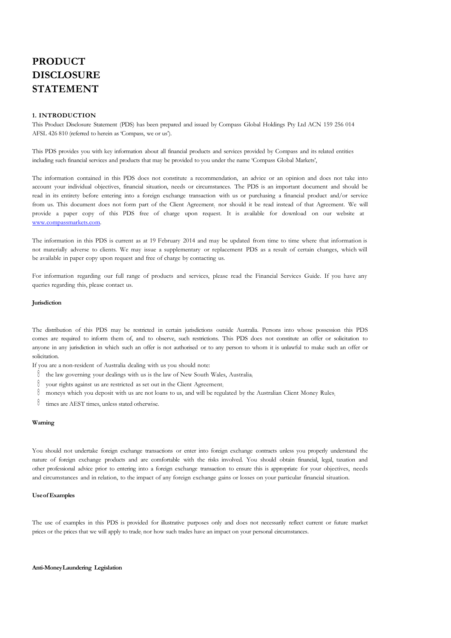# **PRODUCT DISCLOSURE STATEMENT**

### **1. INTRODUCTION**

This Product Disclosure Statement (PDS) has been prepared and issued by Compass Global Holdings Pty Ltd ACN 159 256 014 AFSL 426 810 (referred to herein as 'Compass, we or us').

This PDS provides you with key information about all financial products and services provided by Compass and its related entities including such financial services and products that may be provided to you under the name 'Compass Global Markets',

The information contained in this PDS does not constitute a recommendation, an advice or an opinion and does not take into account your individual objectives, financial situation, needs or circumstances. The PDS is an important document and should be read in its entirety before entering into a foreign exchange transaction with us or purchasing a financial product and/or service from us. This document does not form part of the Client Agreement; nor should it be read instead of that Agreement. We will provide a paper copy of this PDS free of charge upon request. It is available for download on our website at [www.compassmarkets.com.](http://www.compassmarkets.com/)

The information in this PDS is current as at 19 February 2014 and may be updated from time to time where that information is not materially adverse to clients. We may issue a supplementary or replacement PDS as a result of certain changes, which will be available in paper copy upon request and free of charge by contacting us.

For information regarding our full range of products and services, please read the Financial Services Guide. If you have any queries regarding this, please contact us.

### **Jurisdiction**

The distribution of this PDS may be restricted in certain jurisdictions outside Australia. Persons into whose possession this PDS comes are required to inform them of, and to observe, such restrictions. This PDS does not constitute an offer or solicitation to anyone in any jurisdiction in which such an offer is not authorised or to any person to whom it is unlawful to make such an offer or solicitation.

If you are a non-resident of Australia dealing with us you should note:

- $\theta$  the law governing your dealings with us is the law of New South Wales, Australia;
- your rights against us are restricted as set out in the Client Agreement;
- moneys which you deposit with us are not loans to us, and will be regulated by the Australian Client Money Rules;
- $\emptyset$  times are AEST times, unless stated otherwise.

### **Warning**

You should not undertake foreign exchange transactions or enter into foreign exchange contracts unless you properly understand the nature of foreign exchange products and are comfortable with the risks involved. You should obtain financial, legal, taxation and other professional advice prior to entering into a foreign exchange transaction to ensure this is appropriate for your objectives, needs and circumstances and in relation, to the impact of any foreign exchange gains or losses on your particular financial situation.

### **Useof Examples**

The use of examples in this PDS is provided for illustrative purposes only and does not necessarily reflect current or future market prices or the prices that we will apply to trade; nor how such trades have an impact on your personal circumstances.

### **Anti-MoneyLaundering Legislation**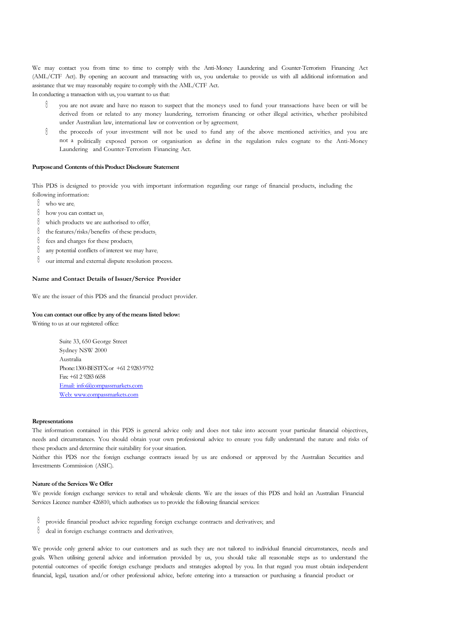We may contact you from time to time to comply with the Anti-Money Laundering and Counter-Terrorism Financing Act (AML/CTF Act). By opening an account and transacting with us, you undertake to provide us with all additional information and assistance that we may reasonably require to comply with the AML/CTF Act.

In conducting a transaction with us, you warrant to us that:

- 0 you are not aware and have no reason to suspect that the moneys used to fund your transactions have been or will be derived from or related to any money laundering, terrorism financing or other illegal activities, whether prohibited under Australian law, international law or convention or by agreement;
- $\theta$ the proceeds of your investment will not be used to fund any of the above mentioned activities; and you are not a politically exposed person or organisation as define in the regulation rules cognate to the Anti-Money Laundering and Counter-Terrorism Financing Act.

### **Purposeand Contents of thisProduct Disclosure Statement**

This PDS is designed to provide you with important information regarding our range of financial products, including the following information:

- $\mathbb{O}$  who we are;
- $\emptyset$  how you can contact us;
- $\emptyset$  which products we are authorised to offer;
- $\emptyset$  the features/risks/benefits of these products;
- $\emptyset$  fees and charges for these products;
- $\emptyset$  any potential conflicts of interest we may have;
- $\emptyset$  our internal and external dispute resolution process.

### **Name and Contact Details of Issuer/Service Provider**

We are the issuer of this PDS and the financial product provider.

### **You can contact our office by any of themeans listed below:**

Writing to us at our registered office:

Suite 33, 650 George Street Sydney NSW 2000 Australia Phone:1300-BESTFXor +61 2 92839792 Fax:+612 9283 6658 Email: [info@compassmarkets.com](mailto:info@compassmarkets.com) Web: [www.compassmarkets.com](http://www.compassmarkets.com/)

### **Representations**

The information contained in this PDS is general advice only and does not take into account your particular financial objectives, needs and circumstances. You should obtain your own professional advice to ensure you fully understand the nature and risks of these products and determine their suitability for your situation.

Neither this PDS nor the foreign exchange contracts issued by us are endorsed or approved by the Australian Securities and Investments Commission (ASIC).

### **Nature of the Services We Offer**

We provide foreign exchange services to retail and wholesale clients. We are the issues of this PDS and hold an Australian Financial Services Licence number 426810, which authorises us to provide the following financial services:

- provide financial product advice regarding foreign exchange contracts and derivatives; and
- deal in foreign exchange contracts and derivatives;

We provide only general advice to our customers and as such they are not tailored to individual financial circumstances, needs and goals. When utilising general advice and information provided by us, you should take all reasonable steps as to understand the potential outcomes of specific foreign exchange products and strategies adopted by you. In that regard you must obtain independent financial, legal, taxation and/or other professional advice, before entering into a transaction or purchasing a financial product or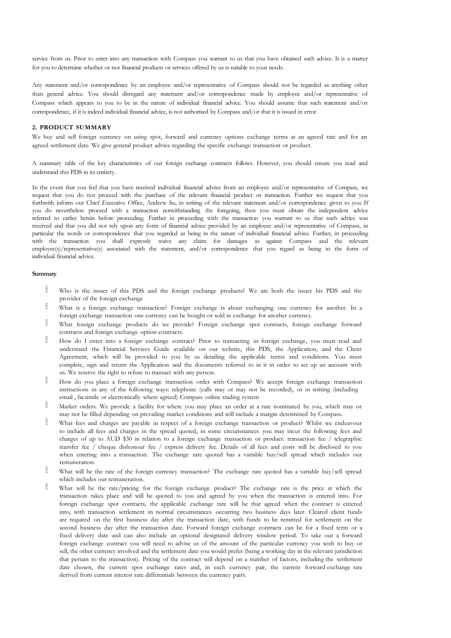service from us. Prior to enter into any transaction with Compass you warrant to us that you have obtained such advice. It is a matter for you to determine whether or not financial products or services offered by us is suitable to your needs.

Any statement and/or correspondence by an employee and/or representative of Compass should not be regarded as anything other than general advice. You should disregard any statement and/or correspondence made by employee and/or representative of Compass which appears to you to be in the nature of individual financial advice. You should assume that such statement and/or correspondence, if it is indeed individual financial advice, is not authorised by Compass and/or that it is issued in error.

### **2. PRODUCT SUMMARY**

We buy and sell foreign currency on using spot, forward and currency options exchange terms at an agreed rate and for an agreed settlement date. We give general product advice regarding the specific exchange transaction or product.

A summary table of the key characteristics of our foreign exchange contracts follows. However, you should ensure you read and understand this PDS in its entirety.

In the event that you feel that you have received individual financial advice from an employee and/or representative of Compass, we request that you do not proceed with the purchase of the relevant financial product or transaction. Further we request that you forthwith inform our Chief Executive Office, Andrew Su, in writing of the relevant statement and/or correspondence given to you. If you do nevertheless proceed with a transaction notwithstanding the foregoing, then you must obtain the independent advice referred to earlier herein before proceeding. Further in proceeding with the transaction you warrant to us that such advice was received and that you did not rely upon any form of financial advice provided by an employee and/or representative of Compass, in particular the words or correspondence that you regarded as being in the nature of individual financial advice. Further, in proceeding with the transaction you shall expressly waive any claim for damages as against Compass and the relevant employee(s)/representative(s) associated with the statement, and/or correspondence that you regard as being in the form of individual financial advice.

### **Summary**

- $\emptyset$ Who is the issuer of this PDS and the foreign exchange products? We are both the issuer his PDS and the provider of the foreign exchange
- $\emptyset$ What is a foreign exchange transaction? Foreign exchange is about exchanging one currency for another. In a foreign exchange transaction one currency can be bought or sold in exchange for another currency.
- $\emptyset$ What foreign exchange products do we provide? Foreign exchange spot contracts, foreign exchange forward contracts and foreign exchange option contracts.
- $\emptyset$ How do I enter into a foreign exchange contract? Prior to transacting in foreign exchange, you must read and understand the Financial Services Guide available on our website, this PDS, the Application, and the Client Agreement, which will be provided to you by us detailing the applicable terms and conditions. You must complete, sign and return the Application and the documents referred to in it in order to set up an account with us. We reserve the right to refuse to transact with any person.
- ₿ How do you place a foreign exchange transaction order with Compass? We accept foreign exchange transaction instructions in any of the following ways: telephone (calls may or may not be recorded), or in writing (including email , facsimile or electronically where agreed) Compass online trading system
- 0 Market orders. We provide a facility for where you may place an order at a rate nominated by you, which may or may not be filled depending on prevailing market conditions and will include a margin determined by Compass.
- $\emptyset$ What fees and charges are payable in respect of a foreign exchange transaction or product? Whilst we endeavour to include all fees and charges in the spread quoted, in some circumstances you may incur the following fees and charges of up to AUD \$30 in relation to a foreign exchange transaction or product: transaction fee / telegraphic transfer fee / cheque dishonour fee / express delivery fee. Details of all fees and costs will be disclosed to you when entering into a transaction. The exchange rate quoted has a variable buy/sell spread which includes our remuneration.
- 0 What will be the rate of the foreign currency transaction? The exchange rate quoted has a variable buy/sell spread which includes our remuneration.
- 0 What will be the rate/pricing for the foreign exchange product? The exchange rate is the price at which the transaction takes place and will be quoted to you and agreed by you when the transaction is entered into. For foreign exchange spot contracts, the applicable exchange rate will be that agreed when the contract is entered into, with transaction settlement in normal circumstances occurring two business days later. Cleared client funds are required on the first business day after the transaction date, with funds to be remitted for settlement on the second business day after the transaction date. Forward foreign exchange contracts can be for a fixed term or a fixed delivery date and can also include an optional designated delivery window period. To take out a forward foreign exchange contract you will need to advise us of the amount of the particular currency you wish to buy or sell, the other currency involved and the settlement date you would prefer (being a working day in the relevant jurisdiction that pertain to the transaction). Pricing of the contract will depend on a number of factors, including the settlement date chosen, the current spot exchange rates and, in each currency pair, the current forward exchange rate derived from current interest rate differentials between the currency pairs.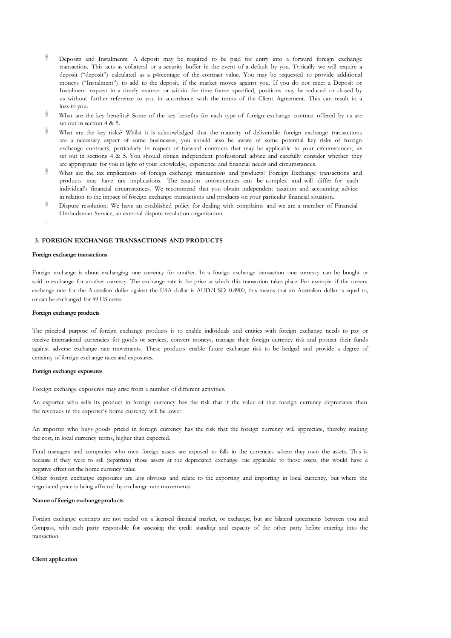- 0 Deposits and Instalments: A deposit may be required to be paid for entry into a forward foreign exchange transaction. This acts as collateral or a security buffer in the event of a default by you. Typically we will require a deposit ("deposit") calculated as a p4rcentage of the contract value. You may be requested to provide additional moneys ("Instalment") to add to the deposit, if the market moves against you. If you do not meet a Deposit or Instalment request in a timely manner or within the time frame specified, positions may be reduced or closed by us without further reference to you in accordance with the terms of the Client Agreement. This can result in a loss to you.
- $\emptyset$ What are the key benefits? Some of the key benefits for each type of foreign exchange contract offered by us are set out in section 4 & 5.
- $\theta$ What are the key risks? Whilst it is acknowledged that the majority of deliverable foreign exchange transactions are a necessary aspect of some businesses, you should also be aware of some potential key risks of foreign exchange contracts, particularly in respect of forward contracts that may be applicable to your circumstances, as set out in sections 4 & 5. You should obtain independent professional advice and carefully consider whether they are appropriate for you in light of your knowledge, experience and financial needs and circumstances.
- $\hat{0}$ What are the tax implications of foreign exchange transactions and products? Foreign Exchange transactions and products may have tax implications. The taxation consequences can be complex and will differ for each individual's financial circumstances. We recommend that you obtain independent taxation and accounting advice in relation to the impact of foreign exchange transactions and products on your particular financial situation.
- 0 Dispute resolution: We have an established policy for dealing with complaints and we are a member of Financial Ombudsman Service, an external dispute resolution organisation

### **3. FOREIGN EXCHANGE TRANSACTIONS AND PRODUCTS**

### **Foreign exchange transactions**

.

Foreign exchange is about exchanging one currency for another. In a foreign exchange transaction one currency can be bought or sold in exchange for another currency. The exchange rate is the price at which this transaction takes place. For example: if the current exchange rate for the Australian dollar against the USA dollar is AUD/USD 0.8900, this means that an Australian dollar is equal to, or can be exchanged for 89 US cents.

### **Foreign exchange products**

The principal purpose of foreign exchange products is to enable individuals and entities with foreign exchange needs to pay or receive international currencies for goods or services, convert moneys, manage their foreign currency risk and protect their funds against adverse exchange rate movements. These products enable future exchange risk to be hedged and provide a degree of certainty of foreign exchange rates and exposures.

### **Foreign exchange exposures**

Foreign exchange exposures may arise from a number of different activities.

An exporter who sells its product in foreign currency has the risk that if the value of that foreign currency depreciates then the revenues in the exporter's home currency will be lower.

An importer who buys goods priced in foreign currency has the risk that the foreign currency will appreciate, thereby making the cost, in local currency terms, higher than expected.

Fund managers and companies who own foreign assets are exposed to falls in the currencies where they own the assets. This is because if they were to sell (repatriate) those assets at the depreciated exchange rate applicable to those assets, this would have a negative effect on the home currency value.

Other foreign exchange exposures are less obvious and relate to the exporting and importing in local currency, but where the negotiated price is being affected by exchange rate movements.

### **Nature offoreign exchangeproducts**

Foreign exchange contracts are not traded on a licensed financial market, or exchange, but are bilateral agreements between you and Compass, with each party responsible for assessing the credit standing and capacity of the other party before entering into the transaction.

### **Client application**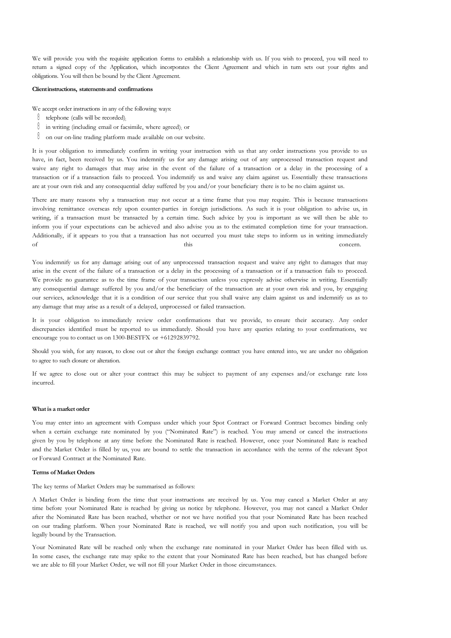We will provide you with the requisite application forms to establish a relationship with us. If you wish to proceed, you will need to return a signed copy of the Application, which incorporates the Client Agreement and which in turn sets out your rights and obligations. You will then be bound by the Client Agreement.

### **Clientinstructions, statementsand confirmations**

We accept order instructions in any of the following ways:

- $\emptyset$  telephone (calls will be recorded);
- $\emptyset$  in writing (including email or facsimile, where agreed); or
- $\emptyset$  on our on-line trading platform made available on our website.

It is your obligation to immediately confirm in writing your instruction with us that any order instructions you provide to us have, in fact, been received by us. You indemnify us for any damage arising out of any unprocessed transaction request and waive any right to damages that may arise in the event of the failure of a transaction or a delay in the processing of a transaction or if a transaction fails to proceed. You indemnify us and waive any claim against us. Essentially these transactions are at your own risk and any consequential delay suffered by you and/or your beneficiary there is to be no claim against us.

There are many reasons why a transaction may not occur at a time frame that you may require. This is because transactions involving remittance overseas rely upon counter-parties in foreign jurisdictions. As such it is your obligation to advise us, in writing, if a transaction must be transacted by a certain time. Such advice by you is important as we will then be able to inform you if your expectations can be achieved and also advise you as to the estimated completion time for your transaction. Additionally, if it appears to you that a transaction has not occurred you must take steps to inform us in writing immediately of this concern.

You indemnify us for any damage arising out of any unprocessed transaction request and waive any right to damages that may arise in the event of the failure of a transaction or a delay in the processing of a transaction or if a transaction fails to proceed. We provide no guarantee as to the time frame of your transaction unless you expressly advise otherwise in writing. Essentially any consequential damage suffered by you and/or the beneficiary of the transaction are at your own risk and you, by engaging our services, acknowledge that it is a condition of our service that you shall waive any claim against us and indemnify us as to any damage that may arise as a result of a delayed, unprocessed or failed transaction.

It is your obligation to immediately review order confirmations that we provide, to ensure their accuracy. Any order discrepancies identified must be reported to us immediately. Should you have any queries relating to your confirmations, we encourage you to contact us on 1300-BESTFX or +61292839792.

Should you wish, for any reason, to close out or alter the foreign exchange contract you have entered into, we are under no obligation to agree to such closure or alteration.

If we agree to close out or alter your contract this may be subject to payment of any expenses and/or exchange rate loss incurred.

### **Whatis a market order**

You may enter into an agreement with Compass under which your Spot Contract or Forward Contract becomes binding only when a certain exchange rate nominated by you ("Nominated Rate") is reached. You may amend or cancel the instructions given by you by telephone at any time before the Nominated Rate is reached. However, once your Nominated Rate is reached and the Market Order is filled by us, you are bound to settle the transaction in accordance with the terms of the relevant Spot or Forward Contract at the Nominated Rate.

### **Terms of Market Orders**

The key terms of Market Orders may be summarised as follows:

A Market Order is binding from the time that your instructions are received by us. You may cancel a Market Order at any time before your Nominated Rate is reached by giving us notice by telephone. However, you may not cancel a Market Order after the Nominated Rate has been reached, whether or not we have notified you that your Nominated Rate has been reached on our trading platform. When your Nominated Rate is reached, we will notify you and upon such notification, you will be legally bound by the Transaction.

Your Nominated Rate will be reached only when the exchange rate nominated in your Market Order has been filled with us. In some cases, the exchange rate may spike to the extent that your Nominated Rate has been reached, but has changed before we are able to fill your Market Order, we will not fill your Market Order in those circumstances.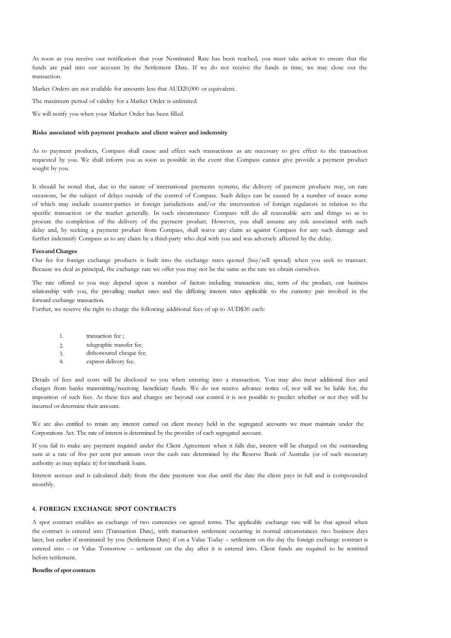As soon as you receive our notification that your Nominated Rate has been reached, you must take action to ensure that the funds are paid into our account by the Settlement Date. If we do not receive the funds in time, we may close out the transaction.

Market Orders are not available for amounts less that AUD20,000 or equivalent.

The maximum period of validity for a Market Order is unlimited.

We will notify you when your Market Order has been filled.

### **Risks associated with payment products and client waiver and indemnity**

As to payment products, Compass shall cause and effect such transactions as are necessary to give effect to the transaction requested by you. We shall inform you as soon as possible in the event that Compass cannot give provide a payment product sought by you.

It should be noted that, due to the nature of international payments systems, the delivery of payment products may, on rare occasions, be the subject of delays outside of the control of Compass. Such delays can be caused by a number of issues some of which may include counter-parties in foreign jurisdictions and/or the intervention of foreign regulators in relation to the specific transaction or the market generally. In such circumstance Compass will do all reasonable acts and things so as to procure the completion of the delivery of the payment product. However, you shall assume any risk associated with such delay and, by seeking a payment product from Compass, shall waive any claim as against Compass for any such damage and further indemnify Compass as to any claim by a third-party who deal with you and was adversely affected by the delay.

### **FeesandCharges**

Our fee for foreign exchange products is built into the exchange rates quoted (buy/sell spread) when you seek to transact. Because we deal as principal, the exchange rate we offer you may not be the same as the rate we obtain ourselves.

The rate offered to you may depend upon a number of factors including transaction size, term of the product, our business relationship with you, the prevailing market rates and the differing interest rates applicable to the currency pair involved in the forward exchange transaction.

Further, we reserve the right to charge the following additional fees of up to AUD\$30 each:

- 1. transaction fee ;
- 2. telegraphic transfer fee;
- 3. dishonoured cheque fee;
- 4. express delivery fee.

Details of fees and costs will be disclosed to you when entering into a transaction. You may also incur additional fees and charges from banks transmitting/receiving beneficiary funds. We do not receive advance notice of, nor will we be liable for, the imposition of such fees. As these fees and charges are beyond our control it is not possible to predict whether or not they will be incurred or determine their amount.

We are also entitled to retain any interest earned on client money held in the segregated accounts we must maintain under the Corporations Act. The rate of interest is determined by the provider of each segregated account.

If you fail to make any payment required under the Client Agreement when it falls due, interest will be charged on the outstanding sum at a rate of five per cent per annum over the cash rate determined by the Reserve Bank of Australia (or of such monetary authority as may replace it) for interbank loans.

Interest accrues and is calculated daily from the date payment was due until the date the client pays in full and is compounded monthly.

### **4. FOREIGN EXCHANGE SPOT CONTRACTS**

A spot contract enables an exchange of two currencies on agreed terms. The applicable exchange rate will be that agreed when the contract is entered into (Transaction Date), with transaction settlement occurring in normal circumstances two business days later, but earlier if nominated by you (Settlement Date) if on a Value Today – settlement on the day the foreign exchange contract is entered into – or Value Tomorrow – settlement on the day after it is entered into. Client funds are required to be remitted before settlement.

### **Benefits of spot contracts**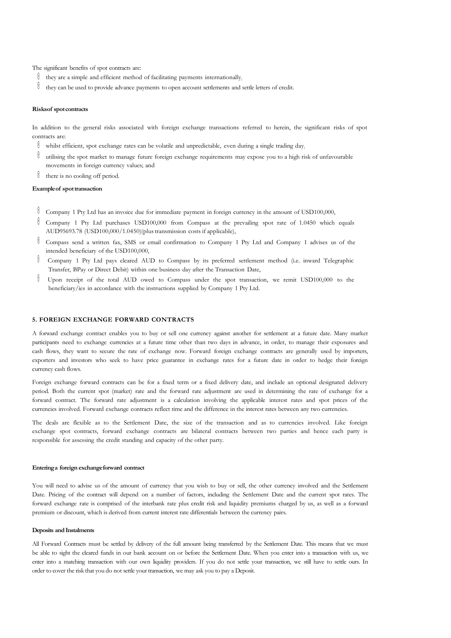The significant benefits of spot contracts are:

- $\mathbb{R}$  they are a simple and efficient method of facilitating payments internationally;
- $\mathbb \theta$  they can be used to provide advance payments to open account settlements and settle letters of credit.

### **Risksof spotcontracts**

In addition to the general risks associated with foreign exchange transactions referred to herein, the significant risks of spot contracts are:

- whilst efficient, spot exchange rates can be volatile and unpredictable, even during a single trading day;
- $\mathbb \theta$  utilising the spot market to manage future foreign exchange requirements may expose you to a high risk of unfavourable movements in foreign currency values; and
- $\emptyset$  there is no cooling off period.

### **Exampleof spottransaction**

- Company 1 Pty Ltd has an invoice due for immediate payment in foreign currency in the amount of USD100,000,
- Company 1 Pty Ltd purchases USD100,000 from Compass at the prevailing spot rate of 1.0450 which equals AUD95693.78 (USD100,000/1.0450)(plustransmission costs if applicable),
- Compass send a written fax, SMS or email confirmation to Company 1 Pty Ltd and Company 1 advises us of the intended beneficiary of the USD100,000,
- 0 Company 1 Pty Ltd pays cleared AUD to Compass by its preferred settlement method (i.e. inward Telegraphic Transfer, BPay or Direct Debit) within one business day after the Transaction Date,
- Û Upon receipt of the total AUD owed to Compass under the spot transaction, we remit USD100,000 to the beneficiary/ies in accordance with the instructions supplied by Company 1 Pty Ltd.

### **5. FOREIGN EXCHANGE FORWARD CONTRACTS**

A forward exchange contract enables you to buy or sell one currency against another for settlement at a future date. Many market participants need to exchange currencies at a future time other than two days in advance, in order, to manage their exposures and cash flows, they want to secure the rate of exchange now. Forward foreign exchange contracts are generally used by importers, exporters and investors who seek to have price guarantee in exchange rates for a future date in order to hedge their foreign currency cash flows.

Foreign exchange forward contracts can be for a fixed term or a fixed delivery date, and include an optional designated delivery period. Both the current spot (market) rate and the forward rate adjustment are used in determining the rate of exchange for a forward contract. The forward rate adjustment is a calculation involving the applicable interest rates and spot prices of the currencies involved. Forward exchange contracts reflect time and the difference in the interest rates between any two currencies.

The deals are flexible as to the Settlement Date, the size of the transaction and as to currencies involved. Like foreign exchange spot contracts, forward exchange contracts are bilateral contracts between two parties and hence each party is responsible for assessing the credit standing and capacity of the other party.

### **Enteringa foreign exchangeforward contract**

You will need to advise us of the amount of currency that you wish to buy or sell, the other currency involved and the Settlement Date. Pricing of the contract will depend on a number of factors, including the Settlement Date and the current spot rates. The forward exchange rate is comprised of the interbank rate plus credit risk and liquidity premiums charged by us, as well as a forward premium or discount, which is derived from current interest rate differentials between the currency pairs.

### **Deposits and Instalments**

All Forward Contracts must be settled by delivery of the full amount being transferred by the Settlement Date. This means that we must be able to sight the cleared funds in our bank account on or before the Settlement Date. When you enter into a transaction with us, we enter into a matching transaction with our own liquidity providers. If you do not settle your transaction, we still have to settle ours. In order to cover the risk that you do not settle your transaction, we may ask you to pay a Deposit.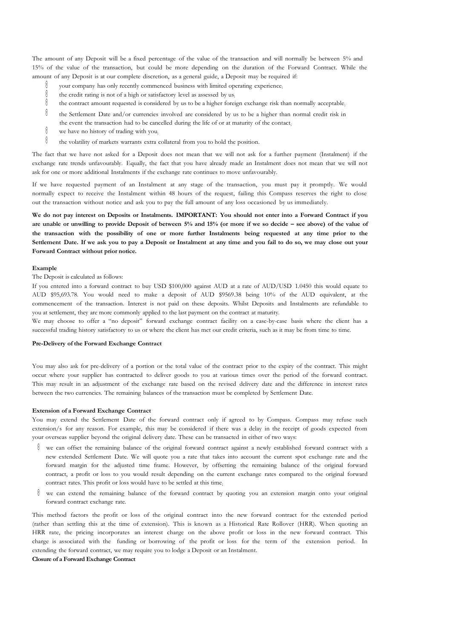The amount of any Deposit will be a fixed percentage of the value of the transaction and will normally be between 5% and 15% of the value of the transaction, but could be more depending on the duration of the Forward Contract. While the amount of any Deposit is at our complete discretion, as a general guide, a Deposit may be required if:

- -0 your company has only recently commenced business with limited operating experience;
- 0 the credit rating is not of a high or satisfactory level as assessed by us;
- 0 the contract amount requested is considered by us to be a higher foreign exchange risk than normally acceptable;
- 0 the Settlement Date and/or currencies involved are considered by us to be a higher than normal credit risk in
- the event the transaction had to be cancelled during the life of or at maturity of the contact;
- $\hat{\mathbb{I}}$ we have no history of trading with you;
- ${\color{red}0}$ the volatility of markets warrants extra collateral from you to hold the position.

The fact that we have not asked for a Deposit does not mean that we will not ask for a further payment (Instalment) if the exchange rate trends unfavourably. Equally, the fact that you have already made an Instalment does not mean that we will not ask for one or more additional Instalments if the exchange rate continues to move unfavourably.

If we have requested payment of an Instalment at any stage of the transaction, you must pay it promptly. We would normally expect to receive the Instalment within 48 hours of the request, failing this Compass reserves the right to close out the transaction without notice and ask you to pay the full amount of any loss occasioned by us immediately.

We do not pay interest on Deposits or Instalments. IMPORTANT: You should not enter into a Forward Contract if you are unable or unwilling to provide Deposit of between 5% and 15% (or more if we so decide - see above) of the value of **the transaction with the possibility of one or more further Instalments being requested at any time prior to the**  Settlement Date. If we ask you to pay a Deposit or Instalment at any time and you fail to do so, we may close out your **Forward Contract without prior notice.**

### **Example**

The Deposit is calculated as follows:

If you entered into a forward contract to buy USD \$100,000 against AUD at a rate of AUD/USD 1.0450 this would equate to AUD \$95,693.78. You would need to make a deposit of AUD \$9569.38 being 10% of the AUD equivalent, at the commencement of the transaction. Interest is not paid on these deposits. Whilst Deposits and Instalments are refundable to you at settlement, they are more commonly applied to the last payment on the contract at maturity.

We may choose to offer a "no deposit" forward exchange contract facility on a case-by-case basis where the client has a successful trading history satisfactory to us or where the client has met our credit criteria, such as it may be from time to time.

### **Pre-Delivery of the Forward Exchange Contract**

You may also ask for pre-delivery of a portion or the total value of the contract prior to the expiry of the contract. This might occur where your supplier has contracted to deliver goods to you at various times over the period of the forward contract. This may result in an adjustment of the exchange rate based on the revised delivery date and the difference in interest rates between the two currencies. The remaining balances of the transaction must be completed by Settlement Date.

### **Extension of a Forward Exchange Contract**

You may extend the Settlement Date of the forward contract only if agreed to by Compass. Compass may refuse such extension/s for any reason. For example, this may be considered if there was a delay in the receipt of goods expected from your overseas supplier beyond the original delivery date. These can be transacted in either of two ways:

- $\emptyset$  we can offset the remaining balance of the original forward contract against a newly established forward contract with a new extended Settlement Date. We will quote you a rate that takes into account the current spot exchange rate and the forward margin for the adjusted time frame. However, by offsetting the remaining balance of the original forward contract, a profit or loss to you would result depending on the current exchange rates compared to the original forward contract rates. This profit or loss would have to be settled at this time;
- $\theta$  we can extend the remaining balance of the forward contract by quoting you an extension margin onto your original forward contract exchange rate.

This method factors the profit or loss of the original contract into the new forward contract for the extended period (rather than settling this at the time of extension). This is known as a Historical Rate Rollover (HRR). When quoting an HRR rate, the pricing incorporates an interest charge on the above profit or loss in the new forward contract. This charge is associated with the funding or borrowing of the profit or loss for the term of the extension period. In extending the forward contract, we may require you to lodge a Deposit or an Instalment.

### **Closure of a Forward Exchange Contract**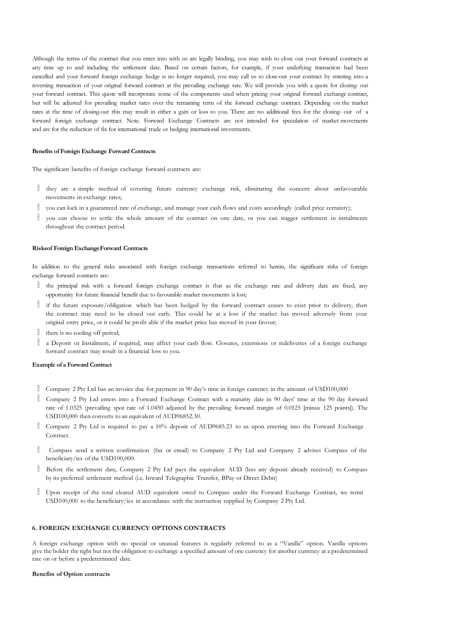Although the terms of the contract that you enter into with us are legally binding, you may wish to close out your forward contracts at any time up to and including the settlement date. Based on certain factors, for example, if your underlying transaction had been cancelled and your forward foreign exchange hedge is no longer required, you may call us to close-out your contract by entering into a reversing transaction of your original forward contract at the prevailing exchange rate. We will provide you with a quote for closing- out your forward contract. This quote will incorporate some of the components used when pricing your original forward exchange contract, but will be adjusted for prevailing market rates over the remaining term of the forward exchange contract. Depending on the market rates at the time of closing-out this may result in either a gain or loss to you. There are no additional fees for the closing- out of a forward foreign exchange contract. Note. Forward Exchange Contracts are not intended for speculation of market movements and are for the reduction of fix for international trade or hedging international investments.

### **Benefits of Foreign Exchange Forward Contracts**

The significant benefits of foreign exchange forward contracts are:

- $\emptyset$  they are a simple method of covering future currency exchange risk, eliminating the concern about unfavourable movements in exchange rates;
- you can lock in a guaranteed rate of exchange, and manage your cash flows and costs accordingly (called price certainty);
- $\emptyset$  you can choose to settle the whole amount of the contract on one date, or you can stagger settlement in instalments throughout the contract period.

### **Risksof Foreign ExchangeForward Contracts**

In addition to the general risks associated with foreign exchange transactions referred to herein, the significant risks of foreign exchange forward contracts are:

- $\emptyset$  the principal risk with a forward foreign exchange contract is that as the exchange rate and delivery date are fixed, any opportunity for future financial benefit due to favourable market movements is lost;
- $\emptyset$  if the future exposure/obligation which has been hedged by the forward contract ceases to exist prior to delivery, then the contract may need to be closed out early. This could be at a loss if the market has moved adversely from your original entry price, or it could be profit able if the market price has moved in your favour;
- $\emptyset$  there is no cooling off period;
- a Deposit or Instalment, if required, may affect your cash flow. Closures, extensions or redeliveries of a foreign exchange forward contract may result in a financial loss to you.

### **Example of a Forward Contract**

- Company 2 Pty Ltd has an invoice due for payment in 90 day's time in foreign currency in the amount of USD100,000
- Company 2 Pty Ltd enters into a Forward Exchange Contract with a maturity date in 90 days' time at the 90 day forward rate of 1.0325 (prevailing spot rate of 1.0450 adjusted by the prevailing forward margin of 0.0125 [minus 125 points]). The USD100,000 then converts to an equivalent of AUD96852.30.
- Company 2 Pty Ltd is required to pay a 10% deposit of AUD9685.23 to us upon entering into the Forward Exchange Contract.
- Compass send a written confirmation (fax or email) to Company 2 Pty Ltd and Company 2 advises Compass of the beneficiary/ies of the USD100,000.
- Before the settlement date, Company 2 Pty Ltd pays the equivalent AUD (less any deposit already received) to Compass by its preferred settlement method (i.e. Inward Telegraphic Transfer, BPay or Direct Debit)
- Upon receipt of the total cleared AUD equivalent owed to Compass under the Forward Exchange Contract, we remit USD100,000 to the beneficiary/ies in accordance with the instruction supplied by Company 2 Pty Ltd.

### **6. FOREIGN EXCHANGE CURRENCY OPTIONS CONTRACTS**

A foreign exchange option with no special or unusual features is regularly referred to as a "Vanilla" option. Vanilla options give the holder the right but not the obligation to exchange a specified amount of one currency for another currency at a predetermined rate on or before a predetermined date.

### **Benefits of Option contracts**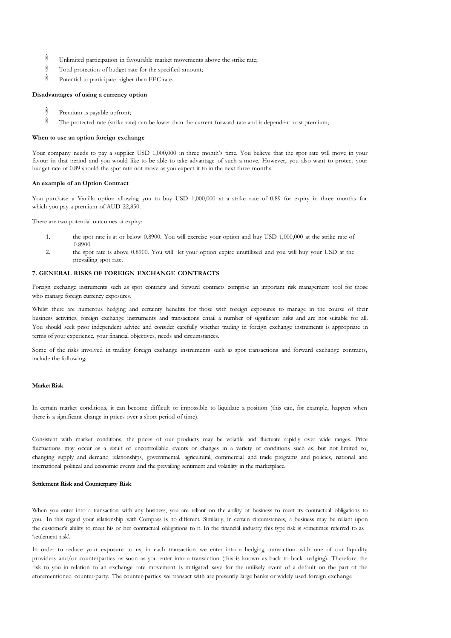- 0 Unlimited participation in favourable market movements above the strike rate;
- $\emptyset$ Total protection of budget rate for the specified amount;
- 0 Potential to participate higher than FEC rate.

### **Disadvantages of using a currency option**

- 0 Premium is payable upfront;
- 0 The protected rate (strike rate) can be lower than the current forward rate and is dependent cost premium;

### **When to use an option foreign exchange**

Your company needs to pay a supplier USD 1,000,000 in three month's time. You believe that the spot rate will move in your favour in that period and you would like to be able to take advantage of such a move. However, you also want to protect your budget rate of 0.89 should the spot rate not move as you expect it to in the next three months.

### **An example of an Option Contract**

You purchase a Vanilla option allowing you to buy USD 1,000,000 at a strike rate of 0.89 for expiry in three months for which you pay a premium of AUD 22,850.

There are two potential outcomes at expiry:

- 1. the spot rate is at or below 0.8900. You will exercise your option and buy USD 1,000,000 at the strike rate of 0.8900
- 2. the spot rate is above 0.8900. You will let your option expire unutillised and you will buy your USD at the prevailing spot rate.

### **7. GENERAL RISKS OF FOREIGN EXCHANGE CONTRACTS**

Foreign exchange instruments such as spot contracts and forward contracts comprise an important risk management tool for those who manage foreign currency exposures.

Whilst there are numerous hedging and certainty benefits for those with foreign exposures to manage in the course of their business activities, foreign exchange instruments and transactions entail a number of significant risks and are not suitable for all. You should seek prior independent advice and consider carefully whether trading in foreign exchange instruments is appropriate in terms of your experience, your financial objectives, needs and circumstances.

Some of the risks involved in trading foreign exchange instruments such as spot transactions and forward exchange contracts, include the following;

### **Market Risk**

In certain market conditions, it can become difficult or impossible to liquidate a position (this can, for example, happen when there is a significant change in prices over a short period of time).

Consistent with market conditions, the prices of our products may be volatile and fluctuate rapidly over wide ranges. Price fluctuations may occur as a result of uncontrollable events or changes in a variety of conditions such as, but not limited to, changing supply and demand relationships, governmental, agricultural, commercial and trade programs and policies, national and international political and economic events and the prevailing sentiment and volatility in the marketplace.

### **Settlement Risk and Counterparty Risk**

When you enter into a transaction with any business, you are reliant on the ability of business to meet its contractual obligations to you. In this regard your relationship with Compass is no different. Similarly, in certain circumstances, a business may be reliant upon the customer's ability to meet his or her contractual obligations to it. In the financial industry this type risk is sometimes referred to as 'settlement risk'.

In order to reduce your exposure to us, in each transaction we enter into a hedging transaction with one of our liquidity providers and/or counterparties as soon as you enter into a transaction (this is known as back to back hedging). Therefore the risk to you in relation to an exchange rate movement is mitigated save for the unlikely event of a default on the part of the aforementioned counter-party. The counter-parties we transact with are presently large banks or widely used foreign exchange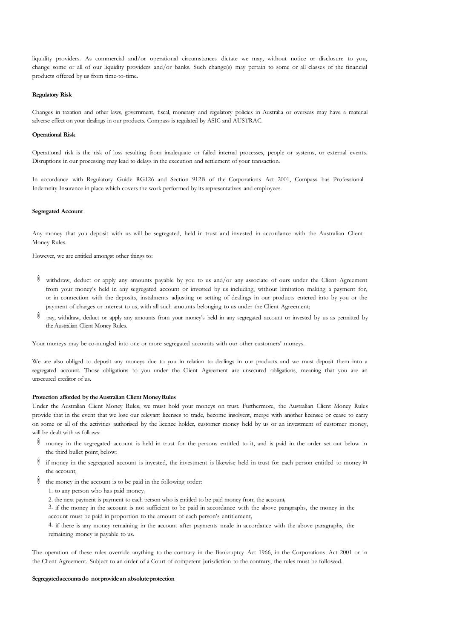liquidity providers. As commercial and/or operational circumstances dictate we may, without notice or disclosure to you, change some or all of our liquidity providers and/or banks. Such change(s) may pertain to some or all classes of the financial products offered by us from time-to-time.

### **Regulatory Risk**

Changes in taxation and other laws, government, fiscal, monetary and regulatory policies in Australia or overseas may have a material adverse effect on your dealings in our products. Compass is regulated by ASIC and AUSTRAC.

### **Operational Risk**

Operational risk is the risk of loss resulting from inadequate or failed internal processes, people or systems, or external events. Disruptions in our processing may lead to delays in the execution and settlement of your transaction.

In accordance with Regulatory Guide RG126 and Section 912B of the Corporations Act 2001, Compass has Professional Indemnity Insurance in place which covers the work performed by its representatives and employees.

### **Segregated Account**

Any money that you deposit with us will be segregated, held in trust and invested in accordance with the Australian Client Money Rules.

However, we are entitled amongst other things to:

- $\emptyset$  withdraw, deduct or apply any amounts payable by you to us and/or any associate of ours under the Client Agreement from your money's held in any segregated account or invested by us including, without limitation making a payment for, or in connection with the deposits, instalments adjusting or setting of dealings in our products entered into by you or the payment of charges or interest to us, with all such amounts belonging to us under the Client Agreement;
- $\mathbb O$  pay, withdraw, deduct or apply any amounts from your money's held in any segregated account or invested by us as permitted by the Australian Client Money Rules.

Your moneys may be co-mingled into one or more segregated accounts with our other customers' moneys.

We are also obliged to deposit any moneys due to you in relation to dealings in our products and we must deposit them into a segregated account. Those obligations to you under the Client Agreement are unsecured obligations, meaning that you are an unsecured creditor of us.

### **Protection afforded by the Australian Client MoneyRules**

Under the Australian Client Money Rules, we must hold your moneys on trust. Furthermore, the Australian Client Money Rules provide that in the event that we lose our relevant licenses to trade, become insolvent, merge with another licensee or cease to carry on some or all of the activities authorised by the licence holder, customer money held by us or an investment of customer money, will be dealt with as follows:

- money in the segregated account is held in trust for the persons entitled to it, and is paid in the order set out below in the third bullet point; below;
- $\mathbb{I}$  if money in the segregated account is invested, the investment is likewise held in trust for each person entitled to money in the account;
- $\emptyset$  the money in the account is to be paid in the following order:
	- 1. to any person who has paid money;
	- 2. the next payment is payment to each person who is entitled to be paid money from the account;

3. if the money in the account is not sufficient to be paid in accordance with the above paragraphs, the money in the account must be paid in proportion to the amount of each person's entitlement;

4. if there is any money remaining in the account after payments made in accordance with the above paragraphs, the remaining money is payable to us.

The operation of these rules override anything to the contrary in the Bankruptcy Act 1966, in the Corporations Act 2001 or in the Client Agreement. Subject to an order of a Court of competent jurisdiction to the contrary, the rules must be followed.

### **Segregatedaccountsdo notprovidean absoluteprotection**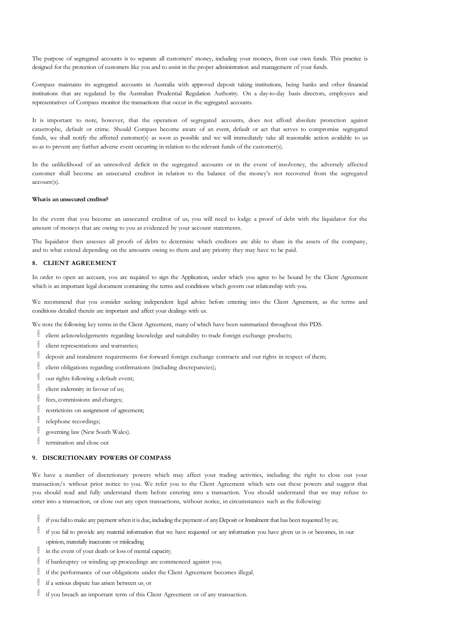The purpose of segregated accounts is to separate all customers' money, including your moneys, from our own funds. This practice is designed for the protection of customers like you and to assist in the proper administration and management of your funds.

Compass maintains its segregated accounts in Australia with approved deposit taking institutions, being banks and other financial institutions that are regulated by the Australian Prudential Regulation Authority. On a day-to-day basis directors, employees and representatives of Compass monitor the transactions that occur in the segregated accounts.

It is important to note, however, that the operation of segregated accounts, does not afford absolute protection against catastrophe, default or crime. Should Compass become aware of an event, default or act that serves to compromise segregated funds, we shall notify the affected customer(s) as soon as possible and we will immediately take all reasonable action available to us so as to prevent any further adverse event occurring in relation to the relevant funds of the customer(s).

In the unlikelihood of an unresolved deficit in the segregated accounts or in the event of insolvency, the adversely affected customer shall become an unsecured creditor in relation to the balance of the money's not recovered from the segregated account(s).

### **Whatis an unsecured creditor?**

In the event that you become an unsecured creditor of us, you will need to lodge a proof of debt with the liquidator for the amount of moneys that are owing to you as evidenced by your account statements.

The liquidator then assesses all proofs of debts to determine which creditors are able to share in the assets of the company, and to what extend depending on the amounts owing to them and any priority they may have to be paid.

### **8. CLIENT AGREEMENT**

In order to open an account, you are required to sign the Application, under which you agree to be bound by the Client Agreement which is an important legal document containing the terms and conditions which govern our relationship with you.

We recommend that you consider seeking independent legal advice before entering into the Client Agreement, as the terms and conditions detailed therein are important and affect your dealings with us.

We note the following key terms in the Client Agreement, many of which have been summarized throughout this PDS.

- $\mathbb O$  client acknowledgements regarding knowledge and suitability to trade foreign exchange products;
- $\mathbb{C}$  client representations and warranties;
- deposit and instalment requirements for forward foreign exchange contracts and our rights in respect of them;
- $\mathbb O$  client obligations regarding confirmations (including discrepancies);
- $\emptyset$  our rights following a default event;
- $\emptyset$  client indemnity in favour of us;
- $\mathbb{Q}$  fees, commissions and charges;
- restrictions on assignment of agreement;
- $\emptyset$  telephone recordings;
- $\emptyset$  governing law (New South Wales).
- $\theta$  termination and close out

### **9. DISCRETIONARY POWERS OF COMPASS**

We have a number of discretionary powers which may affect your trading activities, including the right to close out your transaction/s without prior notice to you. We refer you to the Client Agreement which sets out these powers and suggest that you should read and fully understand them before entering into a transaction. You should understand that we may refuse to enter into a transaction, or close out any open transactions, without notice, in circumstances such as the following:

- $\mathbb{I}$  if you fail to make any payment when it is due, including the payment of any Deposit or Instalment that has been requested by us;
- $\mathbb{I}$  if you fail to provide any material information that we have requested or any information you have given us is or becomes, in our opinion, materially inaccurate or misleading;
- $\mathbb{I}$  in the event of your death or loss of mental capacity;
- $\hat{U}$  if bankruptcy or winding up proceedings are commenced against you;
- $\mathbb{I}$  if the performance of our obligations under the Client Agreement becomes illegal;
- $\emptyset$  if a serious dispute has arisen between us; or
- $\mathbb{I}$  if you breach an important term of this Client Agreement or of any transaction.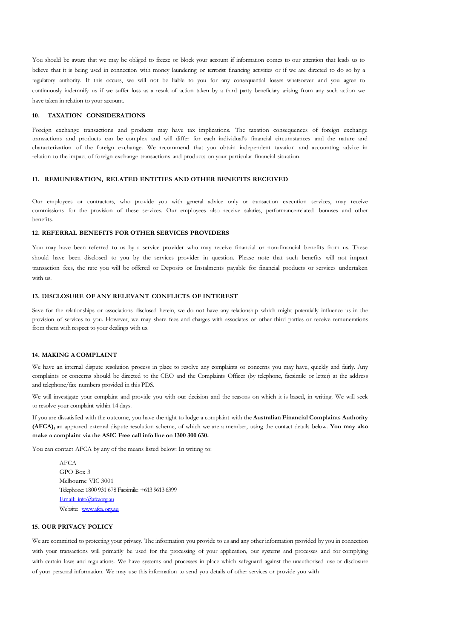You should be aware that we may be obliged to freeze or block your account if information comes to our attention that leads us to believe that it is being used in connection with money laundering or terrorist financing activities or if we are directed to do so by a regulatory authority. If this occurs, we will not be liable to you for any consequential losses whatsoever and you agree to continuously indemnify us if we suffer loss as a result of action taken by a third party beneficiary arising from any such action we have taken in relation to your account.

### **10. TAXATION CONSIDERATIONS**

Foreign exchange transactions and products may have tax implications. The taxation consequences of foreign exchange transactions and products can be complex and will differ for each individual's financial circumstances and the nature and characterization of the foreign exchange. We recommend that you obtain independent taxation and accounting advice in relation to the impact of foreign exchange transactions and products on your particular financial situation.

### **11. REMUNERATION, RELATED ENTITIES AND OTHER BENEFITS RECEIVED**

Our employees or contractors, who provide you with general advice only or transaction execution services, may receive commissions for the provision of these services. Our employees also receive salaries, performance-related bonuses and other benefits.

### **12. REFERRAL BENEFITS FOR OTHER SERVICES PROVIDERS**

You may have been referred to us by a service provider who may receive financial or non-financial benefits from us. These should have been disclosed to you by the services provider in question. Please note that such benefits will not impact transaction fees, the rate you will be offered or Deposits or Instalments payable for financial products or services undertaken with us.

### **13. DISCLOSURE OF ANY RELEVANT CONFLICTS OF INTEREST**

Save for the relationships or associations disclosed herein, we do not have any relationship which might potentially influence us in the provision of services to you. However, we may share fees and charges with associates or other third parties or receive remunerations from them with respect to your dealings with us.

### **14. MAKING A COMPLAINT**

We have an internal dispute resolution process in place to resolve any complaints or concerns you may have, quickly and fairly. Any complaints or concerns should be directed to the CEO and the Complaints Officer (by telephone, facsimile or letter) at the address and telephone/fax numbers provided in this PDS.

We will investigate your complaint and provide you with our decision and the reasons on which it is based, in writing. We will seek to resolve your complaint within 14 days.

If you are dissatisfied with the outcome, you have the right to lodge a complaint with the **Australian Financial Complaints Authority (AFCA),** an approved external dispute resolution scheme, of which we are a member, using the contact details below. **You may also make a complaint via the ASIC Free call info line on 1300 300 630.**

You can contact AFCA by any of the means listed below: In writing to:

AFCA GPO Box 3 Melbourne VIC 3001 Telephone: 1800 931 678 Facsimile: +613 9613 6399 Email: [info@afcaorg.au](mailto:%20info@afcaorg.au) Website: www.afca.org.au

### **15. OUR PRIVACY POLICY**

We are committed to protecting your privacy. The information you provide to us and any other information provided by you in connection with your transactions will primarily be used for the processing of your application, our systems and processes and for complying with certain laws and regulations. We have systems and processes in place which safeguard against the unauthorised use or disclosure of your personal information. We may use this information to send you details of other services or provide you with